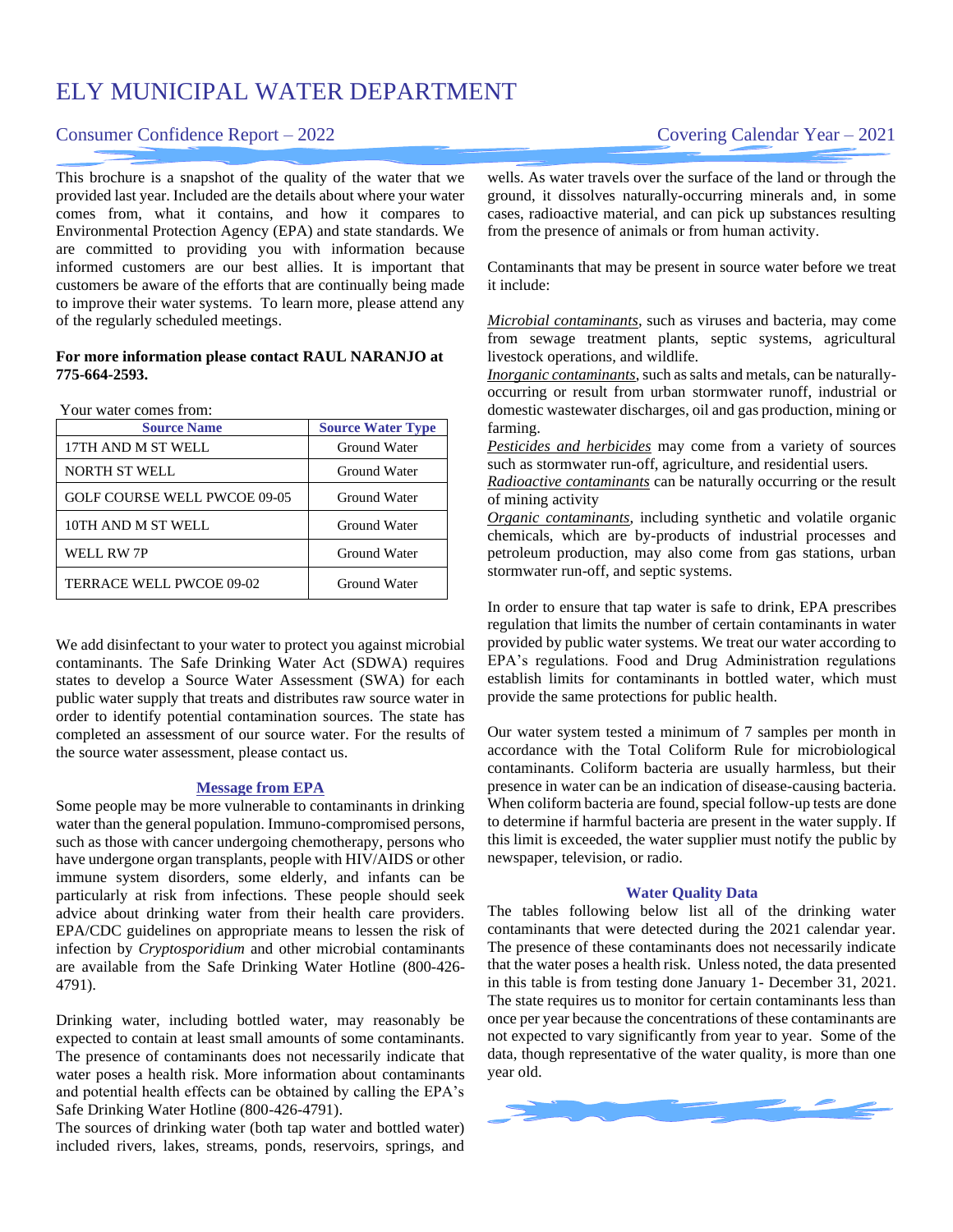# ELY MUNICIPAL WATER DEPARTMENT

# Consumer Confidence Report – 2022 Covering Calendar Year – 2021

This brochure is a snapshot of the quality of the water that we provided last year. Included are the details about where your water comes from, what it contains, and how it compares to Environmental Protection Agency (EPA) and state standards. We are committed to providing you with information because informed customers are our best allies. It is important that customers be aware of the efforts that are continually being made to improve their water systems. To learn more, please attend any of the regularly scheduled meetings.

#### **For more information please contact RAUL NARANJO at 775-664-2593.**

Your water comes from:

| <b>Source Name</b>                  | <b>Source Water Type</b> |
|-------------------------------------|--------------------------|
| 17TH AND M ST WELL                  | Ground Water             |
| <b>NORTH ST WELL</b>                | Ground Water             |
| <b>GOLF COURSE WELL PWCOE 09-05</b> | Ground Water             |
| 10TH AND M ST WELL                  | Ground Water             |
| WELL RW 7P                          | Ground Water             |
| TERRACE WELL PWCOE 09-02            | Ground Water             |

We add disinfectant to your water to protect you against microbial contaminants. The Safe Drinking Water Act (SDWA) requires states to develop a Source Water Assessment (SWA) for each public water supply that treats and distributes raw source water in order to identify potential contamination sources. The state has completed an assessment of our source water. For the results of the source water assessment, please contact us.

#### **Message from EPA**

Some people may be more vulnerable to contaminants in drinking water than the general population. Immuno-compromised persons, such as those with cancer undergoing chemotherapy, persons who have undergone organ transplants, people with HIV/AIDS or other immune system disorders, some elderly, and infants can be particularly at risk from infections. These people should seek advice about drinking water from their health care providers. EPA/CDC guidelines on appropriate means to lessen the risk of infection by *Cryptosporidium* and other microbial contaminants are available from the Safe Drinking Water Hotline (800-426- 4791).

Drinking water, including bottled water, may reasonably be expected to contain at least small amounts of some contaminants. The presence of contaminants does not necessarily indicate that water poses a health risk. More information about contaminants and potential health effects can be obtained by calling the EPA's Safe Drinking Water Hotline (800-426-4791).

The sources of drinking water (both tap water and bottled water) included rivers, lakes, streams, ponds, reservoirs, springs, and

wells. As water travels over the surface of the land or through the ground, it dissolves naturally-occurring minerals and, in some cases, radioactive material, and can pick up substances resulting from the presence of animals or from human activity.

Contaminants that may be present in source water before we treat it include:

*Microbial contaminants*, such as viruses and bacteria, may come from sewage treatment plants, septic systems, agricultural livestock operations, and wildlife.

*Inorganic contaminants*, such as salts and metals, can be naturallyoccurring or result from urban stormwater runoff, industrial or domestic wastewater discharges, oil and gas production, mining or farming.

*Pesticides and herbicides* may come from a variety of sources such as stormwater run-off, agriculture, and residential users.

*Radioactive contaminants* can be naturally occurring or the result of mining activity

*Organic contaminants*, including synthetic and volatile organic chemicals, which are by-products of industrial processes and petroleum production, may also come from gas stations, urban stormwater run-off, and septic systems.

In order to ensure that tap water is safe to drink, EPA prescribes regulation that limits the number of certain contaminants in water provided by public water systems. We treat our water according to EPA's regulations. Food and Drug Administration regulations establish limits for contaminants in bottled water, which must provide the same protections for public health.

Our water system tested a minimum of 7 samples per month in accordance with the Total Coliform Rule for microbiological contaminants. Coliform bacteria are usually harmless, but their presence in water can be an indication of disease-causing bacteria. When coliform bacteria are found, special follow-up tests are done to determine if harmful bacteria are present in the water supply. If this limit is exceeded, the water supplier must notify the public by newspaper, television, or radio.

#### **Water Quality Data**

The tables following below list all of the drinking water contaminants that were detected during the 2021 calendar year. The presence of these contaminants does not necessarily indicate that the water poses a health risk. Unless noted, the data presented in this table is from testing done January 1- December 31, 2021. The state requires us to monitor for certain contaminants less than once per year because the concentrations of these contaminants are not expected to vary significantly from year to year. Some of the data, though representative of the water quality, is more than one year old.

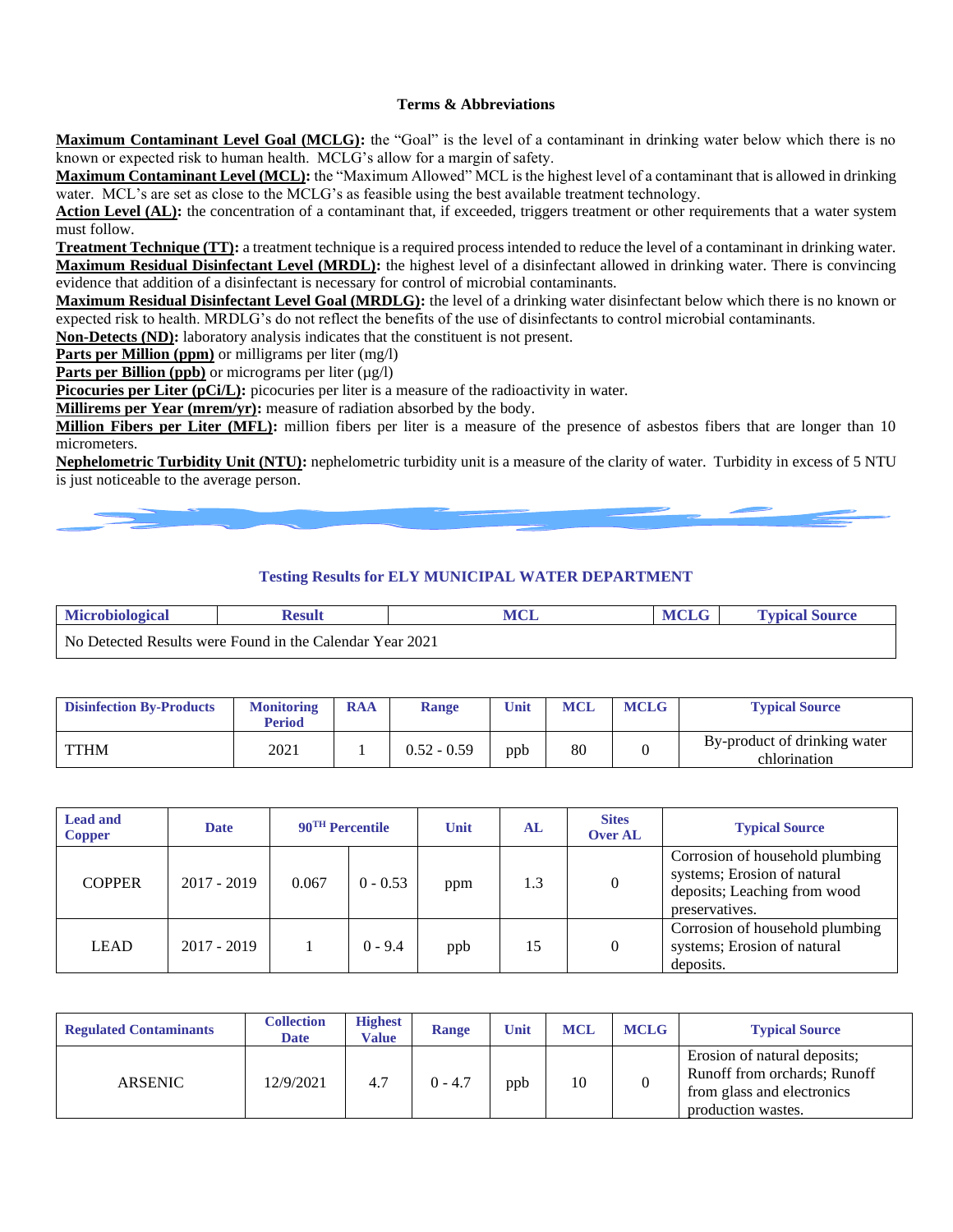### **Terms & Abbreviations**

**Maximum Contaminant Level Goal (MCLG):** the "Goal" is the level of a contaminant in drinking water below which there is no known or expected risk to human health. MCLG's allow for a margin of safety.

**Maximum Contaminant Level (MCL):** the "Maximum Allowed" MCL is the highest level of a contaminant that is allowed in drinking water. MCL's are set as close to the MCLG's as feasible using the best available treatment technology.

Action Level (AL): the concentration of a contaminant that, if exceeded, triggers treatment or other requirements that a water system must follow.

**Treatment Technique (TT):** a treatment technique is a required process intended to reduce the level of a contaminant in drinking water. **Maximum Residual Disinfectant Level (MRDL):** the highest level of a disinfectant allowed in drinking water. There is convincing evidence that addition of a disinfectant is necessary for control of microbial contaminants.

**Maximum Residual Disinfectant Level Goal (MRDLG):** the level of a drinking water disinfectant below which there is no known or expected risk to health. MRDLG's do not reflect the benefits of the use of disinfectants to control microbial contaminants.

**Non-Detects (ND):** laboratory analysis indicates that the constituent is not present.

**Parts per Million (ppm)** or milligrams per liter (mg/l)

**Parts per Billion (ppb)** or micrograms per liter ( $\mu$ g/l)

**Picocuries per Liter (pCi/L):** picocuries per liter is a measure of the radioactivity in water.

**Millirems per Year (mrem/yr):** measure of radiation absorbed by the body.

**Million Fibers per Liter (MFL):** million fibers per liter is a measure of the presence of asbestos fibers that are longer than 10 micrometers.

**Nephelometric Turbidity Unit (NTU):** nephelometric turbidity unit is a measure of the clarity of water. Turbidity in excess of 5 NTU is just noticeable to the average person.

# **Testing Results for ELY MUNICIPAL WATER DEPARTMENT**

| <b>Microbiological</b>                                   | tesul |  |  | l'vnical Source |
|----------------------------------------------------------|-------|--|--|-----------------|
| No Detected Results were Found in the Calendar Year 2021 |       |  |  |                 |

| <b>Disinfection By-Products</b> | <b>Monitoring</b><br>Period | <b>RAA</b> | <b>Range</b>  | Unit | <b>MCL</b> | <b>MCLG</b> | <b>Typical Source</b>                        |
|---------------------------------|-----------------------------|------------|---------------|------|------------|-------------|----------------------------------------------|
| <b>TTHM</b>                     | 2021                        |            | $0.52 - 0.59$ | ppb  | 80         |             | By-product of drinking water<br>chlorination |

| <b>Lead and</b><br><b>Copper</b> | <b>Date</b>   | $90TH$ Percentile |            | Unit | AL  | <b>Sites</b><br><b>Over AL</b> | <b>Typical Source</b>                                                                                            |
|----------------------------------|---------------|-------------------|------------|------|-----|--------------------------------|------------------------------------------------------------------------------------------------------------------|
| <b>COPPER</b>                    | $2017 - 2019$ | 0.067             | $0 - 0.53$ | ppm  | 1.3 |                                | Corrosion of household plumbing<br>systems; Erosion of natural<br>deposits; Leaching from wood<br>preservatives. |
| <b>LEAD</b>                      | $2017 - 2019$ |                   | $0 - 9.4$  | ppb  | 15  | $\theta$                       | Corrosion of household plumbing<br>systems; Erosion of natural<br>deposits.                                      |

| <b>Regulated Contaminants</b> | <b>Collection</b><br><b>Date</b> | <b>Highest</b><br><b>Value</b> | <b>Range</b> | Unit | <b>MCL</b> | <b>MCLG</b> | <b>Typical Source</b>                                                                                            |
|-------------------------------|----------------------------------|--------------------------------|--------------|------|------------|-------------|------------------------------------------------------------------------------------------------------------------|
| <b>ARSENIC</b>                | 12/9/2021                        | 4.7                            | $0 - 4.7$    | ppb  | 10         |             | Erosion of natural deposits;<br>Runoff from orchards; Runoff<br>from glass and electronics<br>production wastes. |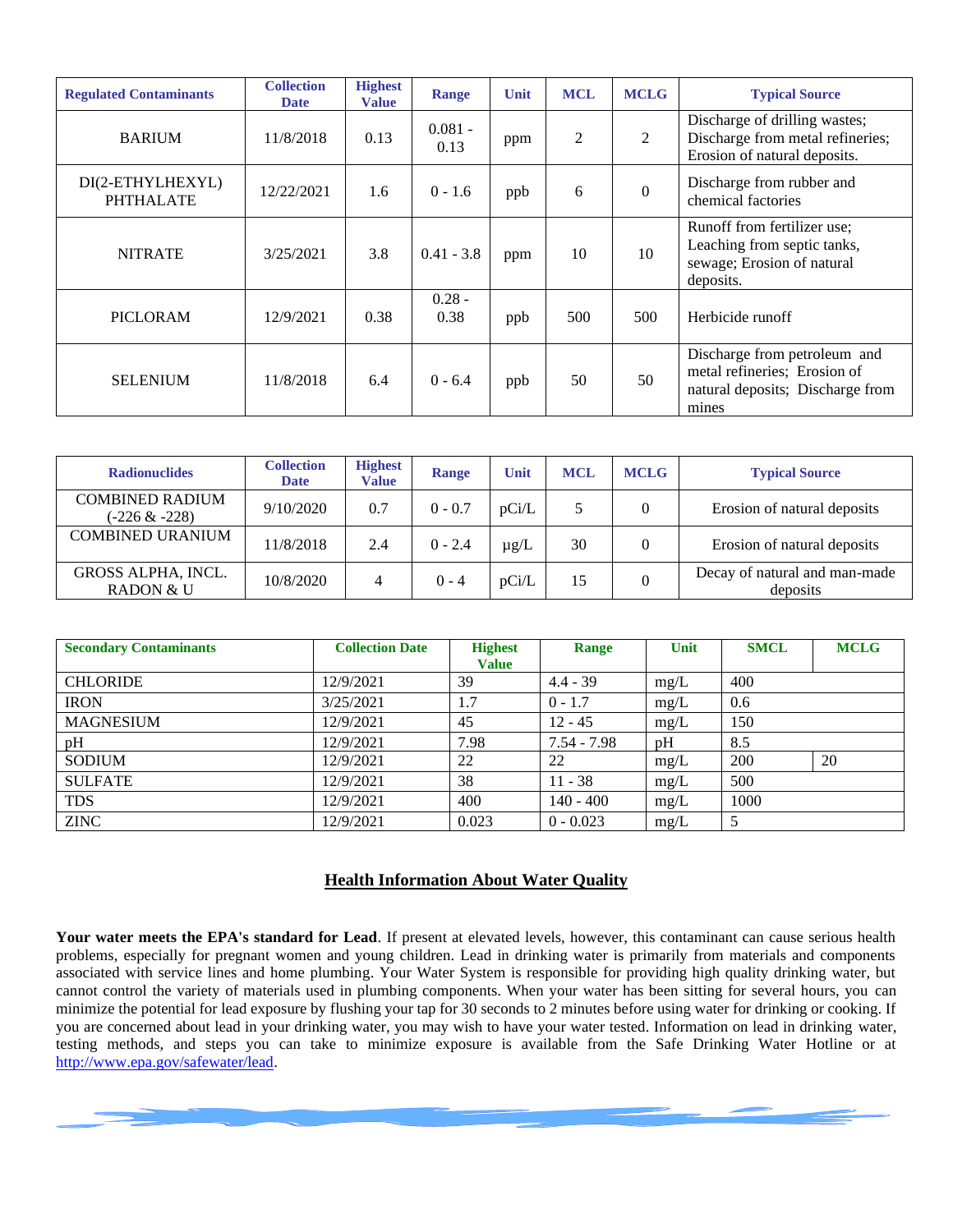| <b>Regulated Contaminants</b>        | <b>Collection</b><br><b>Date</b> | <b>Highest</b><br><b>Value</b> | Range             | Unit | <b>MCL</b> | <b>MCLG</b>  | <b>Typical Source</b>                                                                                     |
|--------------------------------------|----------------------------------|--------------------------------|-------------------|------|------------|--------------|-----------------------------------------------------------------------------------------------------------|
| <b>BARIUM</b>                        | 11/8/2018                        | 0.13                           | $0.081 -$<br>0.13 | ppm  | 2          | 2            | Discharge of drilling wastes;<br>Discharge from metal refineries;<br>Erosion of natural deposits.         |
| DI(2-ETHYLHEXYL)<br><b>PHTHALATE</b> | 12/22/2021                       | 1.6                            | $0 - 1.6$         | ppb  | 6          | $\mathbf{0}$ | Discharge from rubber and<br>chemical factories                                                           |
| <b>NITRATE</b>                       | 3/25/2021                        | 3.8                            | $0.41 - 3.8$      | ppm  | 10         | 10           | Runoff from fertilizer use;<br>Leaching from septic tanks,<br>sewage; Erosion of natural<br>deposits.     |
| <b>PICLORAM</b>                      | 12/9/2021                        | 0.38                           | $0.28 -$<br>0.38  | ppb  | 500        | 500          | Herbicide runoff                                                                                          |
| <b>SELENIUM</b>                      | 11/8/2018                        | 6.4                            | $0 - 6.4$         | ppb  | 50         | 50           | Discharge from petroleum and<br>metal refineries; Erosion of<br>natural deposits; Discharge from<br>mines |

| <b>Radionuclides</b>                    | <b>Collection</b><br><b>Date</b> | <b>Highest</b><br><b>Value</b> | <b>Range</b> | Unit      | <b>MCL</b> | <b>MCLG</b> | <b>Typical Source</b>                     |
|-----------------------------------------|----------------------------------|--------------------------------|--------------|-----------|------------|-------------|-------------------------------------------|
| <b>COMBINED RADIUM</b><br>(-226 & -228) | 9/10/2020                        | 0.7                            | $0 - 0.7$    | pCi/L     | 5.         | $\theta$    | Erosion of natural deposits               |
| <b>COMBINED URANIUM</b>                 | 11/8/2018                        | 2.4                            | $0 - 2.4$    | $\mu$ g/L | 30         | $\theta$    | Erosion of natural deposits               |
| GROSS ALPHA, INCL.<br>RADON & U         | 10/8/2020                        | 4                              | $0 - 4$      | pCi/L     | 15         | 0           | Decay of natural and man-made<br>deposits |

| <b>Secondary Contaminants</b> | <b>Collection Date</b> | <b>Highest</b><br><b>Value</b> | <b>Range</b>  | Unit | <b>SMCL</b> | <b>MCLG</b> |
|-------------------------------|------------------------|--------------------------------|---------------|------|-------------|-------------|
| <b>CHLORIDE</b>               | 12/9/2021              | 39                             | $4.4 - 39$    | mg/L | 400         |             |
| <b>IRON</b>                   | 3/25/2021              | 1.7                            | $0 - 1.7$     | mg/L | 0.6         |             |
| <b>MAGNESIUM</b>              | 12/9/2021              | 45                             | $12 - 45$     | mg/L | 150         |             |
| pH                            | 12/9/2021              | 7.98                           | $7.54 - 7.98$ | pH   | 8.5         |             |
| <b>SODIUM</b>                 | 12/9/2021              | 22                             | 22            | mg/L | 200         | 20          |
| <b>SULFATE</b>                | 12/9/2021              | 38                             | $11 - 38$     | mg/L | 500         |             |
| <b>TDS</b>                    | 12/9/2021              | 400                            | $140 - 400$   | mg/L | 1000        |             |
| <b>ZINC</b>                   | 12/9/2021              | 0.023                          | $0 - 0.023$   | mg/L | 5           |             |

# **Health Information About Water Quality**

**Your water meets the EPA's standard for Lead**. If present at elevated levels, however, this contaminant can cause serious health problems, especially for pregnant women and young children. Lead in drinking water is primarily from materials and components associated with service lines and home plumbing. Your Water System is responsible for providing high quality drinking water, but cannot control the variety of materials used in plumbing components. When your water has been sitting for several hours, you can minimize the potential for lead exposure by flushing your tap for 30 seconds to 2 minutes before using water for drinking or cooking. If you are concerned about lead in your drinking water, you may wish to have your water tested. Information on lead in drinking water, testing methods, and steps you can take to minimize exposure is available from the Safe Drinking Water Hotline or at [http://www.epa.gov/safewater/lead.](about:blank)